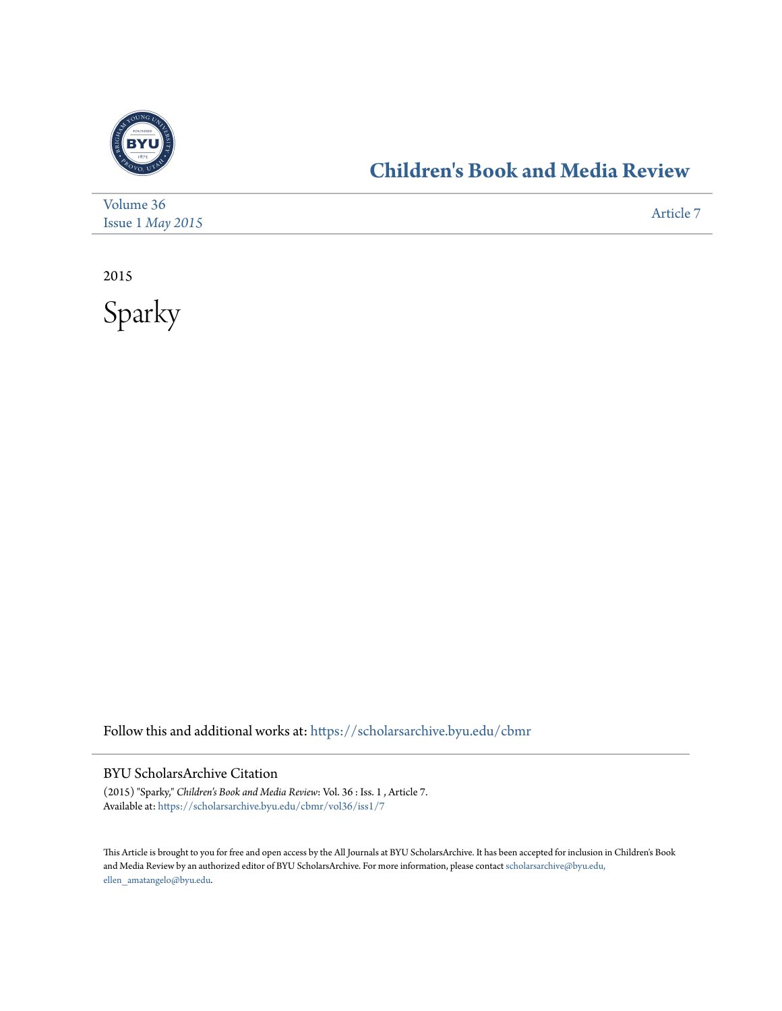

## **[Children's Book and Media Review](https://scholarsarchive.byu.edu/cbmr?utm_source=scholarsarchive.byu.edu%2Fcbmr%2Fvol36%2Fiss1%2F7&utm_medium=PDF&utm_campaign=PDFCoverPages)**

| Volume 36                 | Article 7 |
|---------------------------|-----------|
| Issue $1$ <i>May</i> 2015 |           |

2015



Follow this and additional works at: [https://scholarsarchive.byu.edu/cbmr](https://scholarsarchive.byu.edu/cbmr?utm_source=scholarsarchive.byu.edu%2Fcbmr%2Fvol36%2Fiss1%2F7&utm_medium=PDF&utm_campaign=PDFCoverPages)

BYU ScholarsArchive Citation

(2015) "Sparky," *Children's Book and Media Review*: Vol. 36 : Iss. 1 , Article 7. Available at: [https://scholarsarchive.byu.edu/cbmr/vol36/iss1/7](https://scholarsarchive.byu.edu/cbmr/vol36/iss1/7?utm_source=scholarsarchive.byu.edu%2Fcbmr%2Fvol36%2Fiss1%2F7&utm_medium=PDF&utm_campaign=PDFCoverPages)

This Article is brought to you for free and open access by the All Journals at BYU ScholarsArchive. It has been accepted for inclusion in Children's Book and Media Review by an authorized editor of BYU ScholarsArchive. For more information, please contact [scholarsarchive@byu.edu,](mailto:scholarsarchive@byu.edu,%20ellen_amatangelo@byu.edu) [ellen\\_amatangelo@byu.edu.](mailto:scholarsarchive@byu.edu,%20ellen_amatangelo@byu.edu)